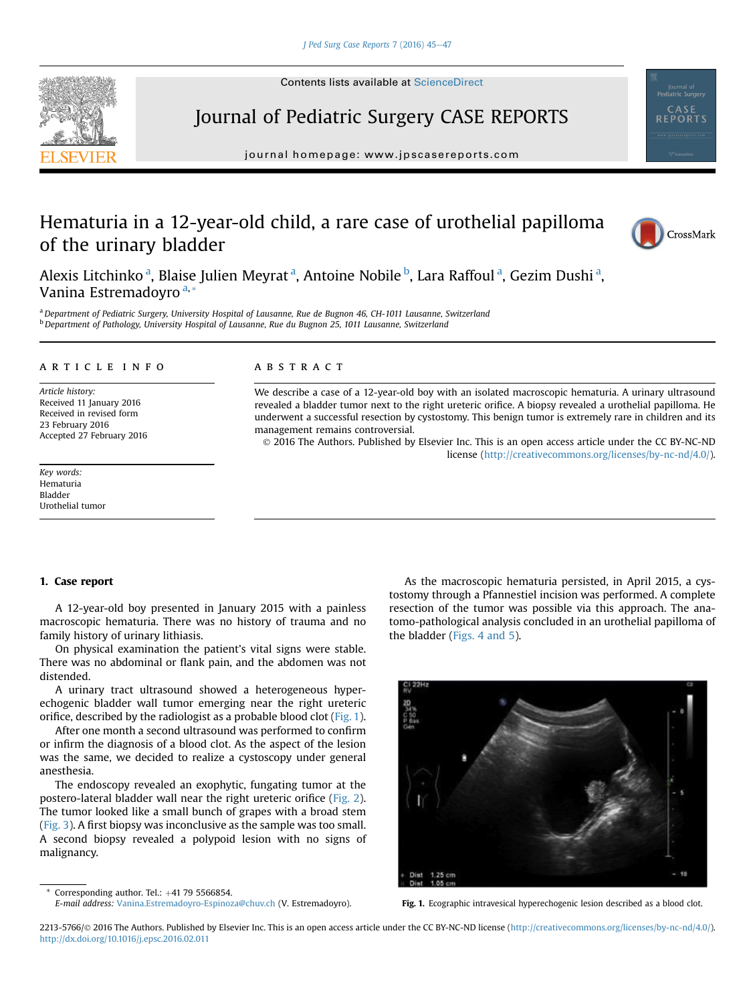

Contents lists available at ScienceDirect

# Journal of Pediatric Surgery CASE REPORTS

journal homepage: [www.jpscasereports.com](http://www.jpscasereports.com)

## Hematuria in a 12-year-old child, a rare case of urothelial papilloma of the urinary bladder



Alexis Litchinko <sup>a</sup>, Blaise Julien Meyrat <sup>a</sup>, Antoine Nobile <sup>b</sup>, Lara Raffoul <sup>a</sup>, Gezim Dushi <sup>a</sup>, Vanina Estremadoyro<sup>a,\*</sup>

a Department of Pediatric Surgery, University Hospital of Lausanne, Rue de Bugnon 46, CH-1011 Lausanne, Switzerland <sup>b</sup> Department of Pathology, University Hospital of Lausanne, Rue du Bugnon 25, 1011 Lausanne, Switzerland

## article info

Article history: Received 11 January 2016 Received in revised form 23 February 2016 Accepted 27 February 2016

Key words: Hematuria Bladder Urothelial tumor

### **ABSTRACT**

We describe a case of a 12-year-old boy with an isolated macroscopic hematuria. A urinary ultrasound revealed a bladder tumor next to the right ureteric orifice. A biopsy revealed a urothelial papilloma. He underwent a successful resection by cystostomy. This benign tumor is extremely rare in children and its management remains controversial.

 2016 The Authors. Published by Elsevier Inc. This is an open access article under the CC BY-NC-ND license ([http://creativecommons.org/licenses/by-nc-nd/4.0/\)](http://creativecommons.org/licenses/by-nc-nd/4.0/).

## 1. Case report

A 12-year-old boy presented in January 2015 with a painless macroscopic hematuria. There was no history of trauma and no family history of urinary lithiasis.

On physical examination the patient's vital signs were stable. There was no abdominal or flank pain, and the abdomen was not distended.

A urinary tract ultrasound showed a heterogeneous hyperechogenic bladder wall tumor emerging near the right ureteric orifice, described by the radiologist as a probable blood clot (Fig. 1).

After one month a second ultrasound was performed to confirm or infirm the diagnosis of a blood clot. As the aspect of the lesion was the same, we decided to realize a cystoscopy under general anesthesia.

The endoscopy revealed an exophytic, fungating tumor at the postero-lateral bladder wall near the right ureteric orifice [\(Fig. 2](#page-1-0)). The tumor looked like a small bunch of grapes with a broad stem ([Fig. 3](#page-1-0)). A first biopsy was inconclusive as the sample was too small. A second biopsy revealed a polypoid lesion with no signs of malignancy.

E-mail address: [Vanina.Estremadoyro-Espinoza@chuv.ch](mailto:Vanina.Estremadoyro-Espinoza@chuv.ch) (V. Estremadoyro).

Corresponding author. Tel.:  $+41$  79 5566854.

As the macroscopic hematuria persisted, in April 2015, a cystostomy through a Pfannestiel incision was performed. A complete resection of the tumor was possible via this approach. The anatomo-pathological analysis concluded in an urothelial papilloma of the bladder ([Figs. 4 and 5](#page-1-0)).



Fig. 1. Ecographic intravesical hyperechogenic lesion described as a blood clot.

<sup>2213-5766/© 2016</sup> The Authors. Published by Elsevier Inc. This is an open access article under the CC BY-NC-ND license (<http://creativecommons.org/licenses/by-nc-nd/4.0/>). <http://dx.doi.org/10.1016/j.epsc.2016.02.011>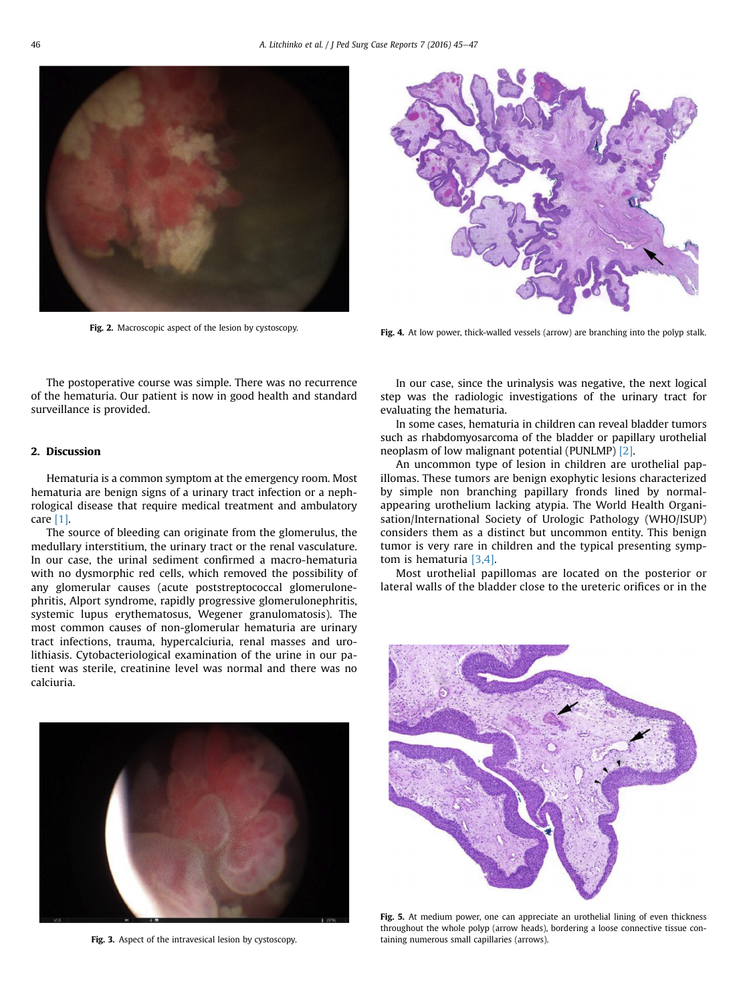<span id="page-1-0"></span>

Fig. 2. Macroscopic aspect of the lesion by cystoscopy.



Fig. 4. At low power, thick-walled vessels (arrow) are branching into the polyp stalk.

The postoperative course was simple. There was no recurrence of the hematuria. Our patient is now in good health and standard surveillance is provided.

#### 2. Discussion

Hematuria is a common symptom at the emergency room. Most hematuria are benign signs of a urinary tract infection or a nephrological disease that require medical treatment and ambulatory care [\[1\].](#page-2-0)

The source of bleeding can originate from the glomerulus, the medullary interstitium, the urinary tract or the renal vasculature. In our case, the urinal sediment confirmed a macro-hematuria with no dysmorphic red cells, which removed the possibility of any glomerular causes (acute poststreptococcal glomerulonephritis, Alport syndrome, rapidly progressive glomerulonephritis, systemic lupus erythematosus, Wegener granulomatosis). The most common causes of non-glomerular hematuria are urinary tract infections, trauma, hypercalciuria, renal masses and urolithiasis. Cytobacteriological examination of the urine in our patient was sterile, creatinine level was normal and there was no calciuria.



Fig. 3. Aspect of the intravesical lesion by cystoscopy.

In our case, since the urinalysis was negative, the next logical step was the radiologic investigations of the urinary tract for evaluating the hematuria.

In some cases, hematuria in children can reveal bladder tumors such as rhabdomyosarcoma of the bladder or papillary urothelial neoplasm of low malignant potential (PUNLMP) [\[2\]](#page-2-0).

An uncommon type of lesion in children are urothelial papillomas. These tumors are benign exophytic lesions characterized by simple non branching papillary fronds lined by normalappearing urothelium lacking atypia. The World Health Organisation/International Society of Urologic Pathology (WHO/ISUP) considers them as a distinct but uncommon entity. This benign tumor is very rare in children and the typical presenting symptom is hematuria [\[3,4\]](#page-2-0).

Most urothelial papillomas are located on the posterior or lateral walls of the bladder close to the ureteric orifices or in the



Fig. 5. At medium power, one can appreciate an urothelial lining of even thickness throughout the whole polyp (arrow heads), bordering a loose connective tissue containing numerous small capillaries (arrows).